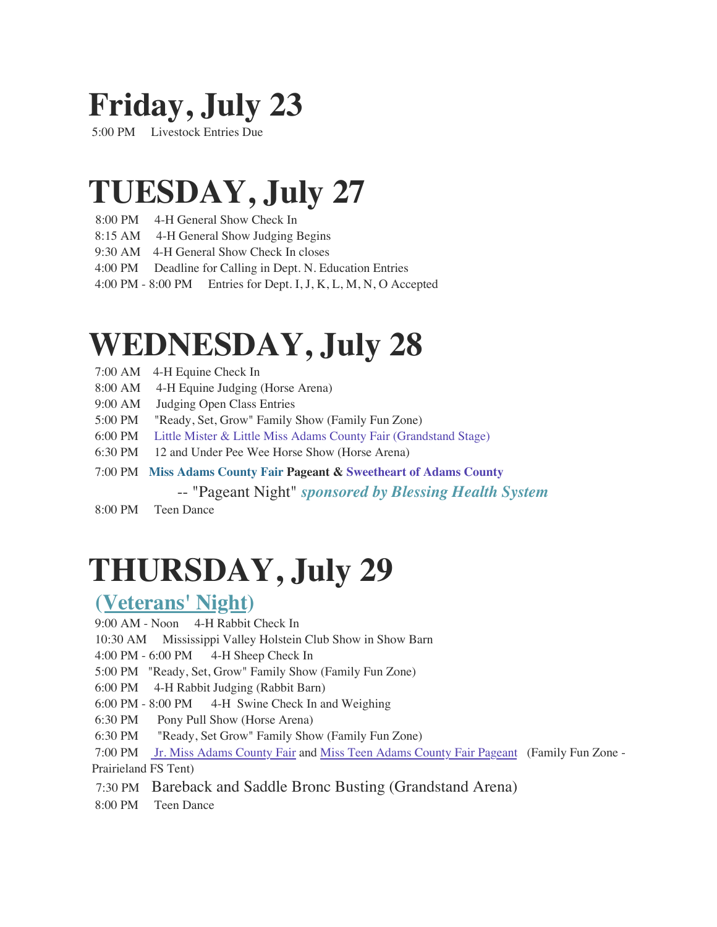### **Friday, July 23**

5:00 PM Livestock Entries Due

#### **TUESDAY, July 27**

- 8:00 PM 4-H General Show Check In
- 8:15 AM 4-H General Show Judging Begins
- 9:30 AM 4-H General Show Check In closes
- 4:00 PM Deadline for Calling in Dept. N. Education Entries
- 4:00 PM 8:00 PM Entries for Dept. I, J, K, L, M, N, O Accepted

#### **WEDNESDAY, July 28**

- 7:00 AM 4-H Equine Check In
- 8:00 AM 4-H Equine Judging (Horse Arena)
- 9:00 AM Judging Open Class Entries
- 5:00 PM "Ready, Set, Grow" Family Show (Family Fun Zone)
- 6:00 PM [Little Mister & Little Miss Adams County Fair](http://weebly-link/959685145642647194) (Grandstand Stage)
- 6:30 PM 12 and Under Pee Wee Horse Show (Horse Arena)
- 7:00 PM **[Miss Adams County Fair](http://weebly-link/660640554573841303) Pageant & Sweetheart of [Adams County](http://weebly-link/331583795425094129)** 
	- -- "Pageant Night" *[sponsored by Blessing Health System](http://www.blessinghealthsystem.org/)*
- 8:00 PM Teen Dance

# **THURSDAY, July 29**

#### **[\(Veterans' Night\)](http://weebly-link/737572274175543586)**

- 9:00 AM Noon 4-H Rabbit Check In
- 10:30 AM Mississippi Valley Holstein Club Show in Show Barn
- 4:00 PM 6:00 PM 4-H Sheep Check In
- 5:00 PM "Ready, Set, Grow" Family Show (Family Fun Zone)
- 6:00 PM 4-H Rabbit Judging (Rabbit Barn)
- 6:00 PM 8:00 PM 4-H Swine Check In and Weighing
- 6:30 PM Pony Pull Show (Horse Arena)
- 6:30 PM "Ready, Set Grow" Family Show (Family Fun Zone)
- 7:00 PM [Jr. Miss Adams County Fair](http://weebly-link/261146698475768840) and [Miss Teen Adams County Fair Pageant](http://weebly-link/991041389828315101) (Family Fun Zone Prairieland FS Tent)
- 7:30 PM Bareback and Saddle Bronc Busting (Grandstand Arena)
- 8:00 PM Teen Dance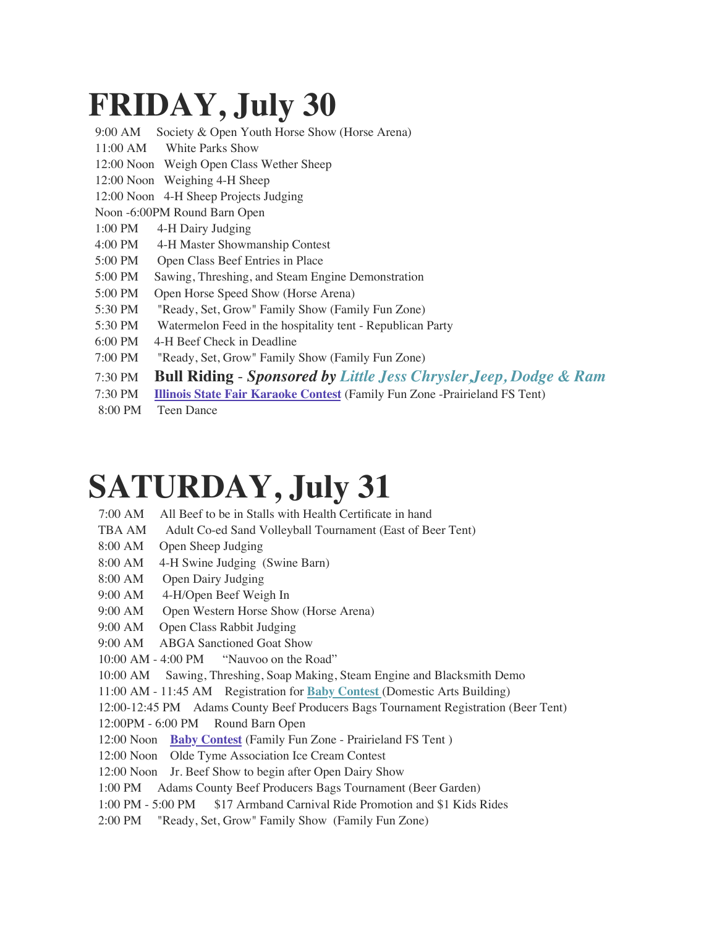# **FRIDAY, July 30**

| 9:00 AM<br>Society & Open Youth Horse Show (Horse Arena)                                 |  |
|------------------------------------------------------------------------------------------|--|
| $11:00$ AM<br>White Parks Show                                                           |  |
| 12:00 Noon Weigh Open Class Wether Sheep                                                 |  |
| 12:00 Noon Weighing 4-H Sheep                                                            |  |
| 12:00 Noon 4-H Sheep Projects Judging                                                    |  |
| Noon -6:00PM Round Barn Open                                                             |  |
| 4-H Dairy Judging<br>1:00 PM                                                             |  |
| 4:00 PM<br>4-H Master Showmanship Contest                                                |  |
| 5:00 PM<br>Open Class Beef Entries in Place                                              |  |
| 5:00 PM<br>Sawing, Threshing, and Steam Engine Demonstration                             |  |
| 5:00 PM<br>Open Horse Speed Show (Horse Arena)                                           |  |
| 5:30 PM<br>"Ready, Set, Grow" Family Show (Family Fun Zone)                              |  |
| 5:30 PM<br>Watermelon Feed in the hospitality tent - Republican Party                    |  |
| 4-H Beef Check in Deadline<br>6:00 PM                                                    |  |
| 7:00 PM<br>"Ready, Set, Grow" Family Show (Family Fun Zone)                              |  |
| <b>Bull Riding - Sponsored by Little Jess Chrysler, Jeep, Dodge &amp; Ram</b><br>7:30 PM |  |
|                                                                                          |  |

- 7:30 PM **[Illinois State Fair Karaoke Contest](https://www2.illinois.gov/statefair/competitions/Pages/karaoke-contest.aspx)** (Family Fun Zone -Prairieland FS Tent)
- 8:00 PM Teen Dance

#### **SATURDAY, July 31**

- 7:00 AM All Beef to be in Stalls with Health Certificate in hand
- TBA AM Adult Co-ed Sand Volleyball Tournament (East of Beer Tent)
- 8:00 AM Open Sheep Judging
- 8:00 AM 4-H Swine Judging (Swine Barn)
- 8:00 AM Open Dairy Judging
- 9:00 AM 4-H/Open Beef Weigh In
- 9:00 AM Open Western Horse Show (Horse Arena)
- 9:00 AM Open Class Rabbit Judging
- 9:00 AM ABGA Sanctioned Goat Show
- 10:00 AM 4:00 PM "Nauvoo on the Road"
- 10:00 AM Sawing, Threshing, Soap Making, Steam Engine and Blacksmith Demo
- 11:00 AM 11:45 AM Registration for **[Baby Contest](http://weebly-link/281143919853303977)** (Domestic Arts Building)
- 12:00-12:45 PM Adams County Beef Producers Bags Tournament Registration (Beer Tent)
- 12:00PM 6:00 PM Round Barn Open
- 12:00 Noon **[Baby Contest](http://weebly-link/281143919853303977)** (Family Fun Zone Prairieland FS Tent )
- 12:00 Noon Olde Tyme Association Ice Cream Contest
- 12:00 Noon Jr. Beef Show to begin after Open Dairy Show
- 1:00 PM Adams County Beef Producers Bags Tournament (Beer Garden)
- 1:00 PM 5:00 PM \$17 Armband Carnival Ride Promotion and \$1 Kids Rides
- 2:00 PM "Ready, Set, Grow" Family Show (Family Fun Zone)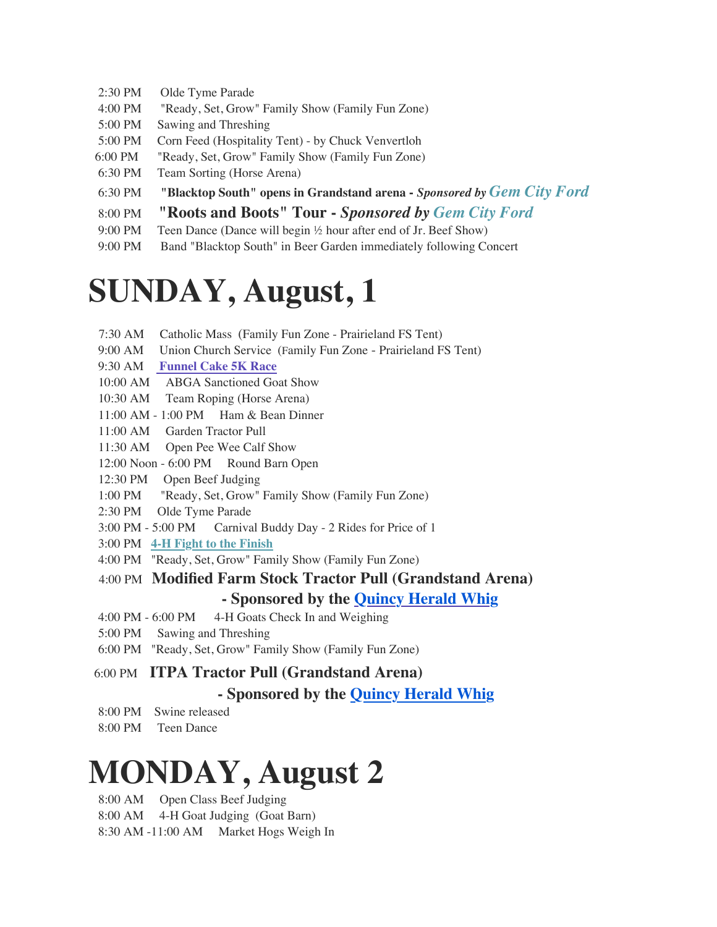- 2:30 PM Olde Tyme Parade
- 4:00 PM "Ready, Set, Grow" Family Show (Family Fun Zone)
- 5:00 PM Sawing and Threshing
- 5:00 PM Corn Feed (Hospitality Tent) by Chuck Venvertloh
- 6:00 PM "Ready, Set, Grow" Family Show (Family Fun Zone)
- 6:30 PM Team Sorting (Horse Arena)
- 6:30 PM **"Blacktop South" opens in Grandstand arena -** *Sponsored by [Gem City Ford](http://www.gemcityford.com/)*
- 8:00 PM **"Roots and Boots" Tour -** *Sponsored by [Gem City Ford](http://www.gemcityford.com/)*
- 9:00 PM Teen Dance (Dance will begin  $\frac{1}{2}$  hour after end of Jr. Beef Show)
- 9:00 PM Band "Blacktop South" in Beer Garden immediately following Concert

#### **SUNDAY, August, 1**

- 7:30 AM Catholic Mass (Family Fun Zone Prairieland FS Tent)
- 9:00 AM Union Church Service (Family Fun Zone Prairieland FS Tent)
- 9:30 AM **[Funnel Cake 5K Race](https://quincyymca.net/funnel-cake-5k/)**
- 10:00 AM ABGA Sanctioned Goat Show
- 10:30 AM Team Roping (Horse Arena)
- 11:00 AM 1:00 PM Ham & Bean Dinner
- 11:00 AM Garden Tractor Pull
- 11:30 AM Open Pee Wee Calf Show
- 12:00 Noon 6:00 PM Round Barn Open
- 12:30 PM Open Beef Judging
- 1:00 PM "Ready, Set, Grow" Family Show (Family Fun Zone)
- 2:30 PM Olde Tyme Parade
- 3:00 PM 5:00 PM Carnival Buddy Day 2 Rides for Price of 1
- 3:00 PM **[4-H Fight to the Finish](http://weebly-link/273437507343733688)**
- 4:00 PM "Ready, Set, Grow" Family Show (Family Fun Zone)
- 4:00 PM **Modified Farm Stock Tractor Pull (Grandstand Arena) - Sponsored by the Quincy Herald Whig**
- 4:00 PM 6:00 PM 4-H Goats Check In and Weighing
- 5:00 PM Sawing and Threshing
- 6:00 PM "Ready, Set, Grow" Family Show (Family Fun Zone)
- 6:00 PM **ITPA Tractor Pull (Grandstand Arena)**

#### **- Sponsored by the Quincy Herald Whig**

- 8:00 PM Swine released
- 8:00 PM Teen Dance

### **MONDAY, August 2**

- 8:00 AM Open Class Beef Judging
- 8:00 AM 4-H Goat Judging (Goat Barn)
- 8:30 AM -11:00 AM Market Hogs Weigh In